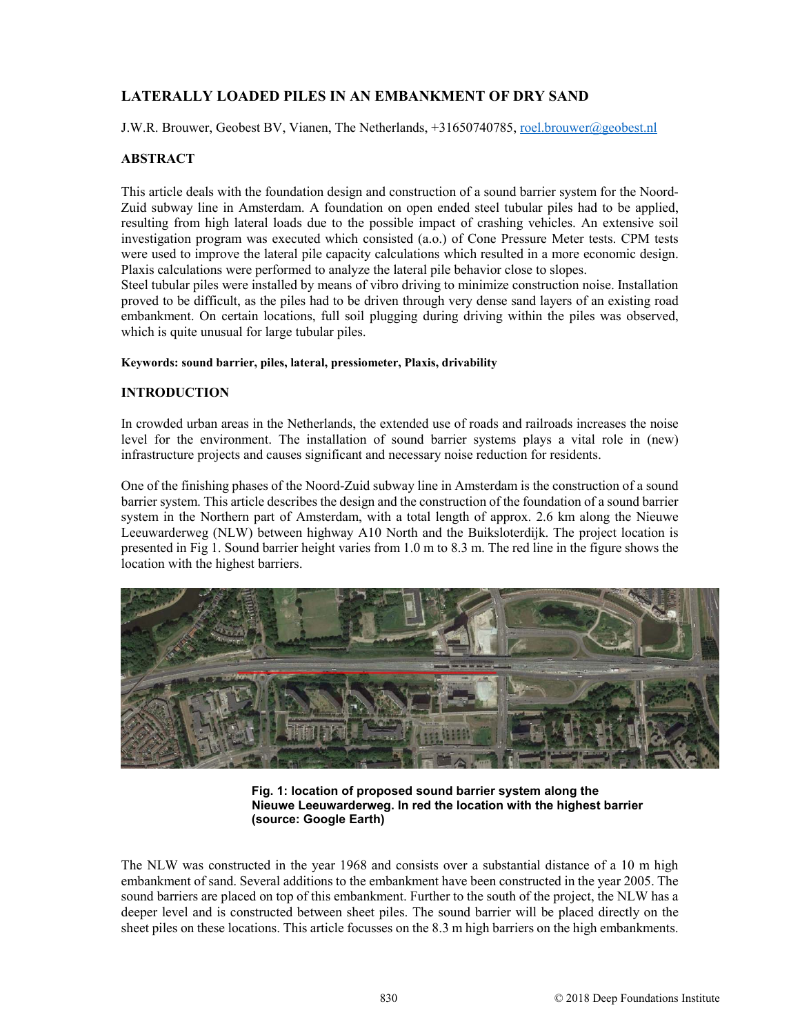# **LATERALLY LOADED PILES IN AN EMBANKMENT OF DRY SAND**

J.W.R. Brouwer, Geobest BV, Vianen, The Netherlands, +31650740785, roel.brouwer@geobest.nl

# **ABSTRACT**

This article deals with the foundation design and construction of a sound barrier system for the Noord-Zuid subway line in Amsterdam. A foundation on open ended steel tubular piles had to be applied, resulting from high lateral loads due to the possible impact of crashing vehicles. An extensive soil investigation program was executed which consisted (a.o.) of Cone Pressure Meter tests. CPM tests were used to improve the lateral pile capacity calculations which resulted in a more economic design. Plaxis calculations were performed to analyze the lateral pile behavior close to slopes.

Steel tubular piles were installed by means of vibro driving to minimize construction noise. Installation proved to be difficult, as the piles had to be driven through very dense sand layers of an existing road embankment. On certain locations, full soil plugging during driving within the piles was observed, which is quite unusual for large tubular piles.

#### **Keywords: sound barrier, piles, lateral, pressiometer, Plaxis, drivability**

## **INTRODUCTION**

In crowded urban areas in the Netherlands, the extended use of roads and railroads increases the noise level for the environment. The installation of sound barrier systems plays a vital role in (new) infrastructure projects and causes significant and necessary noise reduction for residents.

One of the finishing phases of the Noord-Zuid subway line in Amsterdam is the construction of a sound barrier system. This article describes the design and the construction of the foundation of a sound barrier system in the Northern part of Amsterdam, with a total length of approx. 2.6 km along the Nieuwe Leeuwarderweg (NLW) between highway A10 North and the Buiksloterdijk. The project location is presented in Fig 1. Sound barrier height varies from 1.0 m to 8.3 m. The red line in the figure shows the location with the highest barriers.



**Fig. 1: location of proposed sound barrier system along the Nieuwe Leeuwarderweg. In red the location with the highest barrier (source: Google Earth)** 

The NLW was constructed in the year 1968 and consists over a substantial distance of a 10 m high embankment of sand. Several additions to the embankment have been constructed in the year 2005. The sound barriers are placed on top of this embankment. Further to the south of the project, the NLW has a deeper level and is constructed between sheet piles. The sound barrier will be placed directly on the sheet piles on these locations. This article focusses on the 8.3 m high barriers on the high embankments.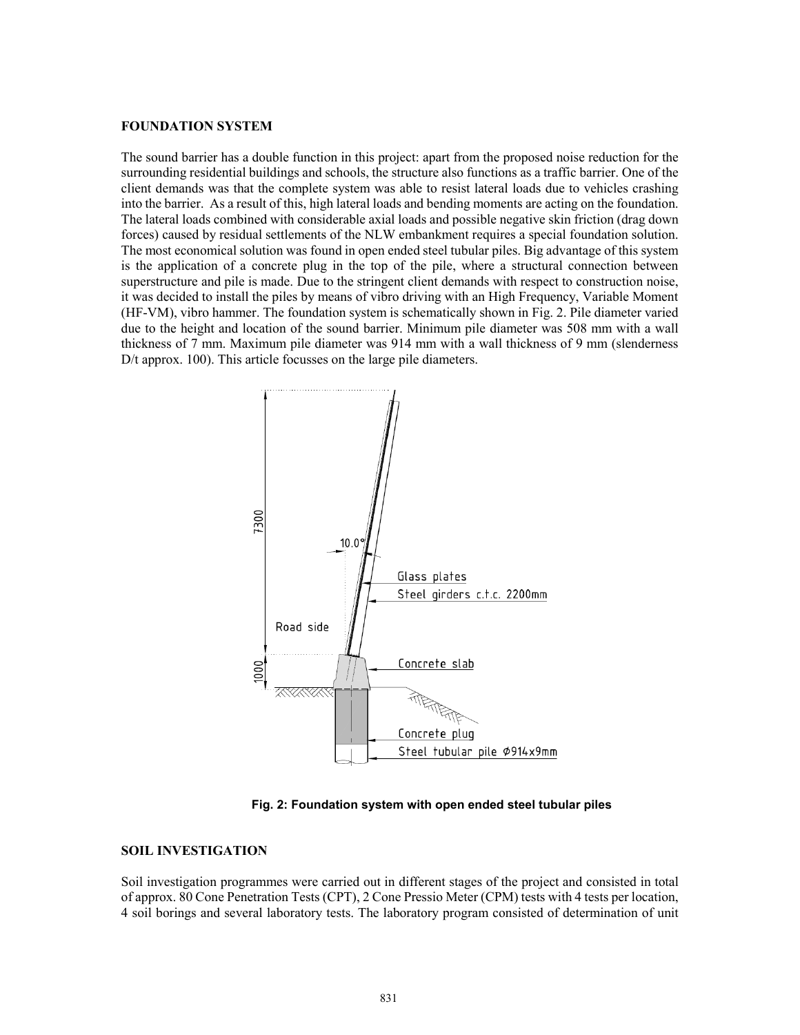### **FOUNDATION SYSTEM**

The sound barrier has a double function in this project: apart from the proposed noise reduction for the surrounding residential buildings and schools, the structure also functions as a traffic barrier. One of the client demands was that the complete system was able to resist lateral loads due to vehicles crashing into the barrier. As a result of this, high lateral loads and bending moments are acting on the foundation. The lateral loads combined with considerable axial loads and possible negative skin friction (drag down forces) caused by residual settlements of the NLW embankment requires a special foundation solution. The most economical solution was found in open ended steel tubular piles. Big advantage of this system is the application of a concrete plug in the top of the pile, where a structural connection between superstructure and pile is made. Due to the stringent client demands with respect to construction noise, it was decided to install the piles by means of vibro driving with an High Frequency, Variable Moment (HF-VM), vibro hammer. The foundation system is schematically shown in Fig. 2. Pile diameter varied due to the height and location of the sound barrier. Minimum pile diameter was 508 mm with a wall thickness of 7 mm. Maximum pile diameter was 914 mm with a wall thickness of 9 mm (slenderness D/t approx. 100). This article focusses on the large pile diameters.



**Fig. 2: Foundation system with open ended steel tubular piles**

#### **SOIL INVESTIGATION**

Soil investigation programmes were carried out in different stages of the project and consisted in total of approx. 80 Cone Penetration Tests (CPT), 2 Cone Pressio Meter (CPM) tests with 4 tests per location, 4 soil borings and several laboratory tests. The laboratory program consisted of determination of unit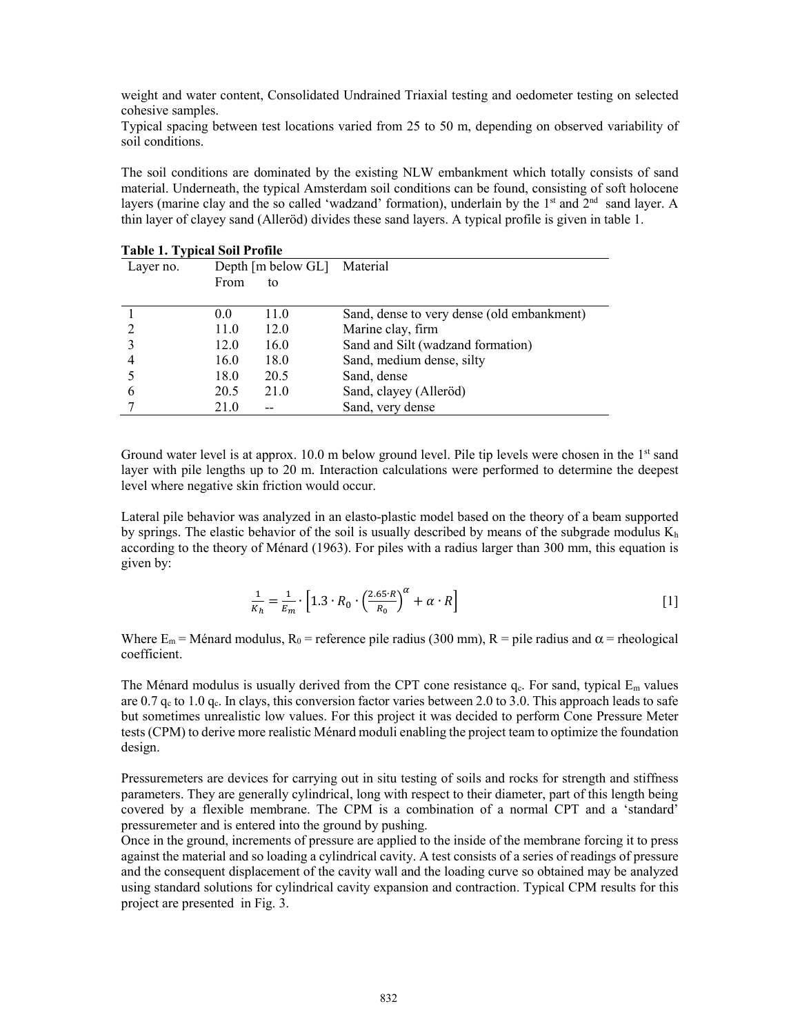weight and water content, Consolidated Undrained Triaxial testing and oedometer testing on selected cohesive samples.

Typical spacing between test locations varied from 25 to 50 m, depending on observed variability of soil conditions.

The soil conditions are dominated by the existing NLW embankment which totally consists of sand material. Underneath, the typical Amsterdam soil conditions can be found, consisting of soft holocene layers (marine clay and the so called 'wadzand' formation), underlain by the  $1<sup>st</sup>$  and  $2<sup>nd</sup>$  sand layer. A thin layer of clayey sand (Alleröd) divides these sand layers. A typical profile is given in table 1.

| Table 1. Typical Soil Profile |                             |      |                                            |  |  |
|-------------------------------|-----------------------------|------|--------------------------------------------|--|--|
| Layer no.                     | Depth [m below GL] Material |      |                                            |  |  |
|                               | From                        | to   |                                            |  |  |
|                               |                             |      |                                            |  |  |
|                               | 0.0                         | 11.0 | Sand, dense to very dense (old embankment) |  |  |
|                               | 11.0                        | 12.0 | Marine clay, firm                          |  |  |
|                               | 12.0                        | 16.0 | Sand and Silt (wadzand formation)          |  |  |
| 4                             | 16.0                        | 18.0 | Sand, medium dense, silty                  |  |  |
|                               | 18.0                        | 20.5 | Sand, dense                                |  |  |
| 6                             | 20.5                        | 21.0 | Sand, clayey (Alleröd)                     |  |  |
|                               | 21.0                        |      | Sand, very dense                           |  |  |

**Table 1. Typical Soil Profile** 

Ground water level is at approx. 10.0 m below ground level. Pile tip levels were chosen in the 1<sup>st</sup> sand layer with pile lengths up to 20 m. Interaction calculations were performed to determine the deepest level where negative skin friction would occur.

Lateral pile behavior was analyzed in an elasto-plastic model based on the theory of a beam supported by springs. The elastic behavior of the soil is usually described by means of the subgrade modulus  $K<sub>h</sub>$ according to the theory of Ménard (1963). For piles with a radius larger than 300 mm, this equation is given by:

$$
\frac{1}{K_h} = \frac{1}{E_m} \cdot \left[ 1.3 \cdot R_0 \cdot \left( \frac{2.65 \cdot R}{R_0} \right)^{\alpha} + \alpha \cdot R \right] \tag{1}
$$

Where  $E_m$  = Ménard modulus,  $R_0$  = reference pile radius (300 mm), R = pile radius and  $\alpha$  = rheological coefficient.

The Ménard modulus is usually derived from the CPT cone resistance  $q_c$ . For sand, typical  $E_m$  values are 0.7  $q_c$  to 1.0  $q_c$ . In clays, this conversion factor varies between 2.0 to 3.0. This approach leads to safe but sometimes unrealistic low values. For this project it was decided to perform Cone Pressure Meter tests (CPM) to derive more realistic Ménard moduli enabling the project team to optimize the foundation design.

Pressuremeters are devices for carrying out in situ testing of soils and rocks for strength and stiffness parameters. They are generally cylindrical, long with respect to their diameter, part of this length being covered by a flexible membrane. The CPM is a combination of a normal CPT and a 'standard' pressuremeter and is entered into the ground by pushing.

Once in the ground, increments of pressure are applied to the inside of the membrane forcing it to press against the material and so loading a cylindrical cavity. A test consists of a series of readings of pressure and the consequent displacement of the cavity wall and the loading curve so obtained may be analyzed using standard solutions for cylindrical cavity expansion and contraction. Typical CPM results for this project are presented in Fig. 3.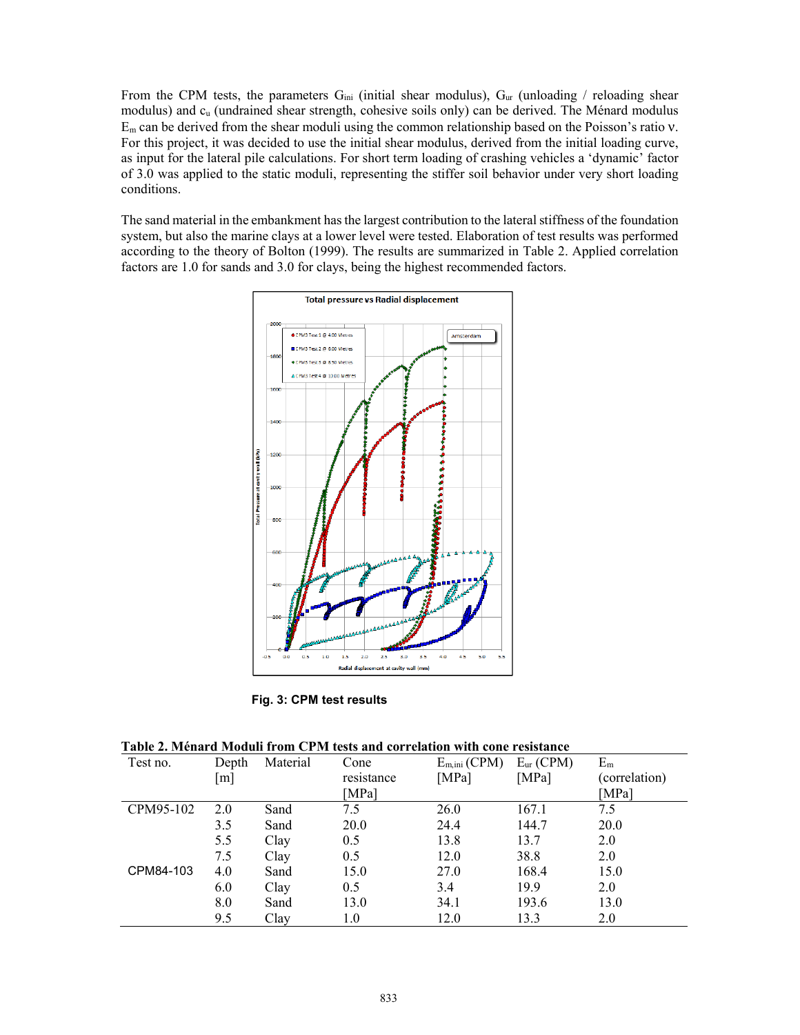From the CPM tests, the parameters  $G_{ini}$  (initial shear modulus),  $G_{ur}$  (unloading / reloading shear modulus) and cu (undrained shear strength, cohesive soils only) can be derived. The Ménard modulus  $E_m$  can be derived from the shear moduli using the common relationship based on the Poisson's ratio  $v$ . For this project, it was decided to use the initial shear modulus, derived from the initial loading curve, as input for the lateral pile calculations. For short term loading of crashing vehicles a 'dynamic' factor of 3.0 was applied to the static moduli, representing the stiffer soil behavior under very short loading conditions.

The sand material in the embankment has the largest contribution to the lateral stiffness of the foundation system, but also the marine clays at a lower level were tested. Elaboration of test results was performed according to the theory of Bolton (1999). The results are summarized in Table 2. Applied correlation factors are 1.0 for sands and 3.0 for clays, being the highest recommended factors.



**Fig. 3: CPM test results** 

| Table 2. Ménard Moduli from CPM tests and correlation with cone resistance |  |  |  |
|----------------------------------------------------------------------------|--|--|--|
|----------------------------------------------------------------------------|--|--|--|

| Test no.  | Depth<br>[m] | Material | Cone<br>resistance<br>[MPa] | $E_{m,ini}$ (CPM)<br>[MPa] | $E_{ur}$ (CPM)<br>[MPa] | $E_m$<br>(correlation)<br>[MPa] |
|-----------|--------------|----------|-----------------------------|----------------------------|-------------------------|---------------------------------|
| CPM95-102 | 2.0          | Sand     | 7.5                         | 26.0                       | 167.1                   | 7.5                             |
|           | 3.5          | Sand     | 20.0                        | 24.4                       | 144.7                   | 20.0                            |
|           | 5.5          | Clay     | 0.5                         | 13.8                       | 13.7                    | 2.0                             |
|           | 7.5          | Clay     | 0.5                         | 12.0                       | 38.8                    | 2.0                             |
| CPM84-103 | 4.0          | Sand     | 15.0                        | 27.0                       | 168.4                   | 15.0                            |
|           | 6.0          | Clay     | 0.5                         | 3.4                        | 19.9                    | 2.0                             |
|           | 8.0          | Sand     | 13.0                        | 34.1                       | 193.6                   | 13.0                            |
|           | 9.5          | Clay     | 1.0                         | 12.0                       | 13.3                    | 2.0                             |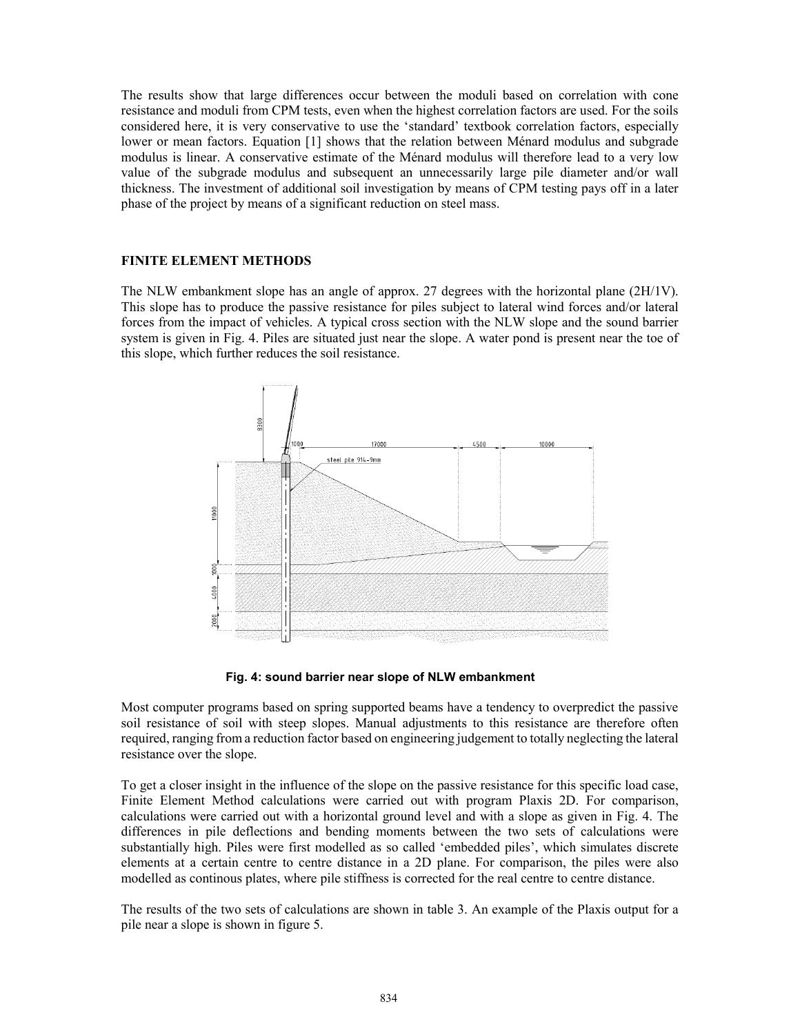The results show that large differences occur between the moduli based on correlation with cone resistance and moduli from CPM tests, even when the highest correlation factors are used. For the soils considered here, it is very conservative to use the 'standard' textbook correlation factors, especially lower or mean factors. Equation [1] shows that the relation between Ménard modulus and subgrade modulus is linear. A conservative estimate of the Ménard modulus will therefore lead to a very low value of the subgrade modulus and subsequent an unnecessarily large pile diameter and/or wall thickness. The investment of additional soil investigation by means of CPM testing pays off in a later phase of the project by means of a significant reduction on steel mass.

#### **FINITE ELEMENT METHODS**

The NLW embankment slope has an angle of approx. 27 degrees with the horizontal plane (2H/1V). This slope has to produce the passive resistance for piles subject to lateral wind forces and/or lateral forces from the impact of vehicles. A typical cross section with the NLW slope and the sound barrier system is given in Fig. 4. Piles are situated just near the slope. A water pond is present near the toe of this slope, which further reduces the soil resistance.



**Fig. 4: sound barrier near slope of NLW embankment** 

Most computer programs based on spring supported beams have a tendency to overpredict the passive soil resistance of soil with steep slopes. Manual adjustments to this resistance are therefore often required, ranging from a reduction factor based on engineering judgement to totally neglecting the lateral resistance over the slope.

To get a closer insight in the influence of the slope on the passive resistance for this specific load case, Finite Element Method calculations were carried out with program Plaxis 2D. For comparison, calculations were carried out with a horizontal ground level and with a slope as given in Fig. 4. The differences in pile deflections and bending moments between the two sets of calculations were substantially high. Piles were first modelled as so called 'embedded piles', which simulates discrete elements at a certain centre to centre distance in a 2D plane. For comparison, the piles were also modelled as continous plates, where pile stiffness is corrected for the real centre to centre distance.

The results of the two sets of calculations are shown in table 3. An example of the Plaxis output for a pile near a slope is shown in figure 5.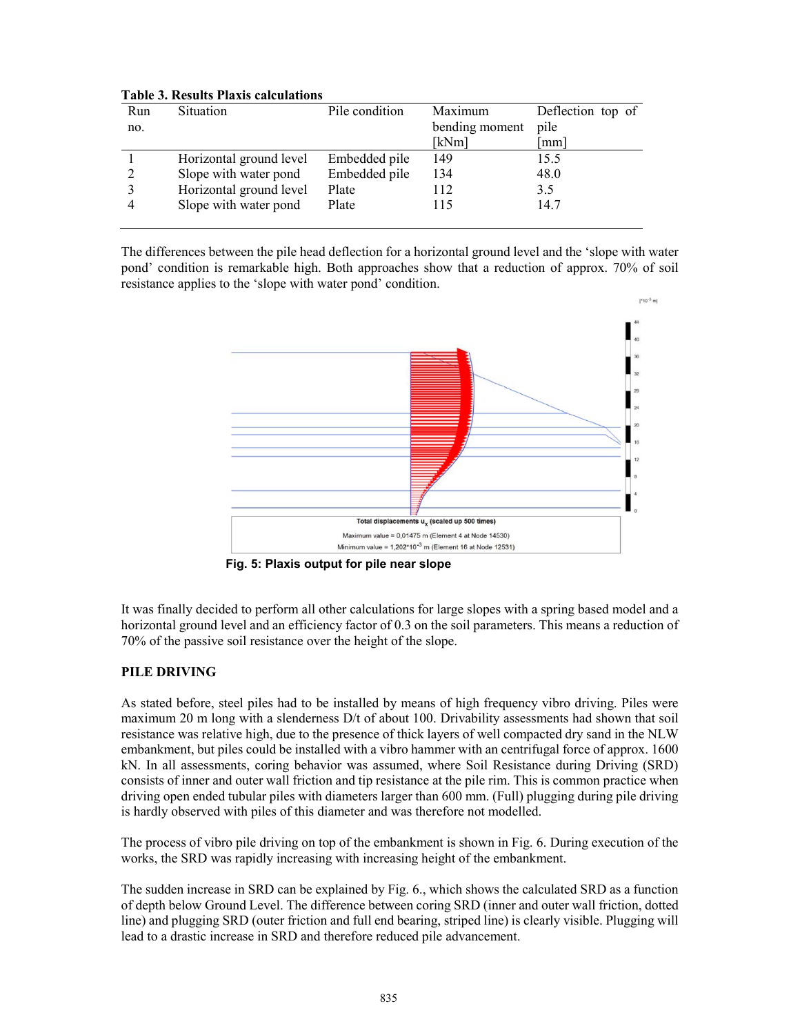| Run            | <b>Situation</b>        | Pile condition | Maximum        | Deflection top of |
|----------------|-------------------------|----------------|----------------|-------------------|
| no.            |                         |                | bending moment | pile              |
|                |                         |                | [kNm]          | mm                |
|                | Horizontal ground level | Embedded pile  | 149            | 15.5              |
| $\overline{2}$ | Slope with water pond   | Embedded pile  | 134            | 48.0              |
|                | Horizontal ground level | Plate          | 112            | 3.5               |
|                | Slope with water pond   | Plate          | 115            | 14.7              |
|                |                         |                |                |                   |

# **Table 3. Results Plaxis calculations**

The differences between the pile head deflection for a horizontal ground level and the 'slope with water pond' condition is remarkable high. Both approaches show that a reduction of approx. 70% of soil resistance applies to the 'slope with water pond' condition.



**Fig. 5: Plaxis output for pile near slope** 

It was finally decided to perform all other calculations for large slopes with a spring based model and a horizontal ground level and an efficiency factor of 0.3 on the soil parameters. This means a reduction of 70% of the passive soil resistance over the height of the slope.

# **PILE DRIVING**

As stated before, steel piles had to be installed by means of high frequency vibro driving. Piles were maximum 20 m long with a slenderness D/t of about 100. Drivability assessments had shown that soil resistance was relative high, due to the presence of thick layers of well compacted dry sand in the NLW embankment, but piles could be installed with a vibro hammer with an centrifugal force of approx. 1600 kN. In all assessments, coring behavior was assumed, where Soil Resistance during Driving (SRD) consists of inner and outer wall friction and tip resistance at the pile rim. This is common practice when driving open ended tubular piles with diameters larger than 600 mm. (Full) plugging during pile driving is hardly observed with piles of this diameter and was therefore not modelled.

The process of vibro pile driving on top of the embankment is shown in Fig. 6. During execution of the works, the SRD was rapidly increasing with increasing height of the embankment.

The sudden increase in SRD can be explained by Fig. 6., which shows the calculated SRD as a function of depth below Ground Level. The difference between coring SRD (inner and outer wall friction, dotted line) and plugging SRD (outer friction and full end bearing, striped line) is clearly visible. Plugging will lead to a drastic increase in SRD and therefore reduced pile advancement.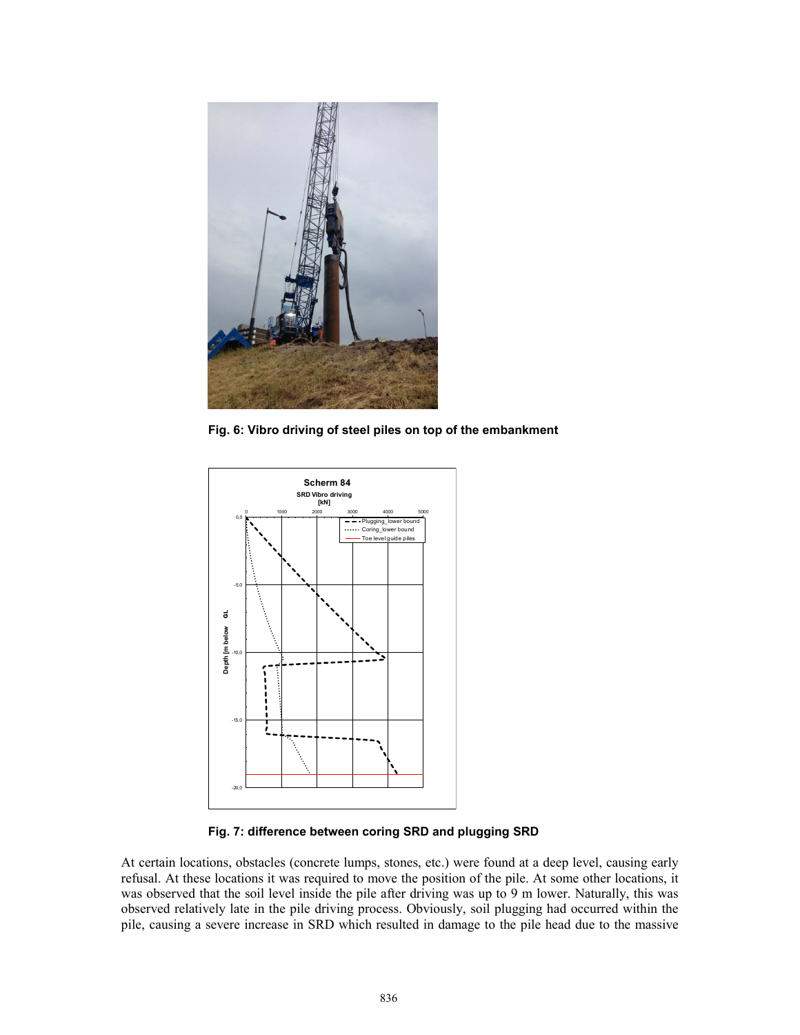

**Fig. 6: Vibro driving of steel piles on top of the embankment** 



**Fig. 7: difference between coring SRD and plugging SRD** 

At certain locations, obstacles (concrete lumps, stones, etc.) were found at a deep level, causing early refusal. At these locations it was required to move the position of the pile. At some other locations, it was observed that the soil level inside the pile after driving was up to 9 m lower. Naturally, this was observed relatively late in the pile driving process. Obviously, soil plugging had occurred within the pile, causing a severe increase in SRD which resulted in damage to the pile head due to the massive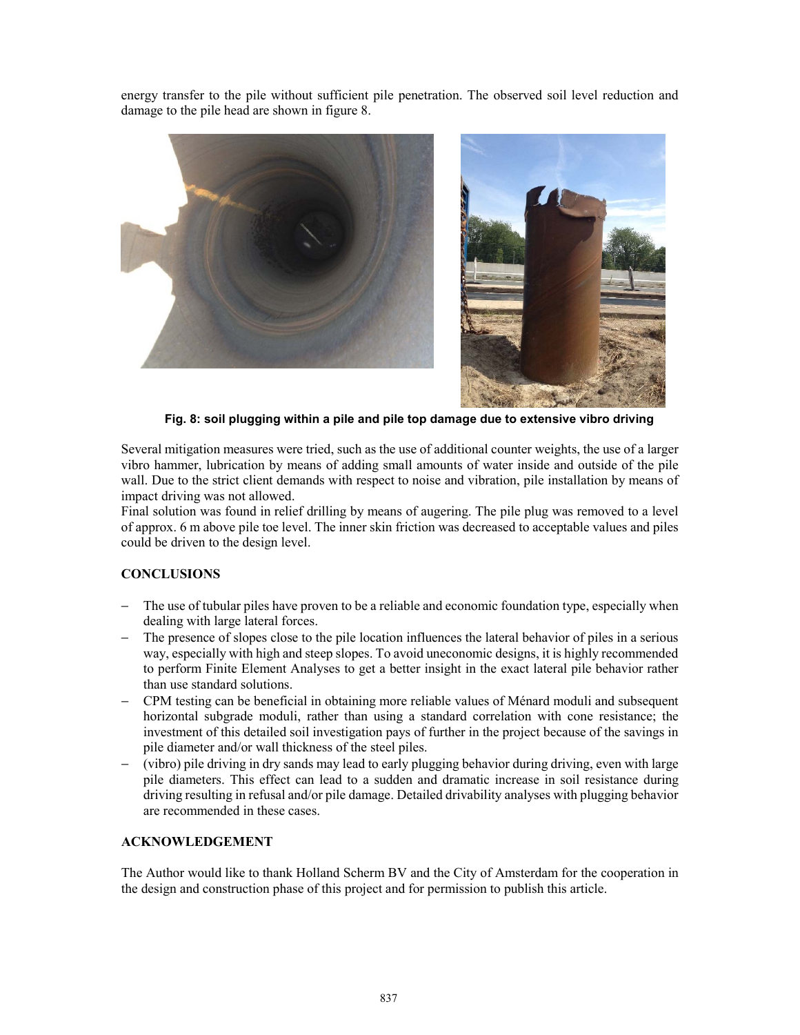energy transfer to the pile without sufficient pile penetration. The observed soil level reduction and damage to the pile head are shown in figure 8.



**Fig. 8: soil plugging within a pile and pile top damage due to extensive vibro driving** 

Several mitigation measures were tried, such as the use of additional counter weights, the use of a larger vibro hammer, lubrication by means of adding small amounts of water inside and outside of the pile wall. Due to the strict client demands with respect to noise and vibration, pile installation by means of impact driving was not allowed.

Final solution was found in relief drilling by means of augering. The pile plug was removed to a level of approx. 6 m above pile toe level. The inner skin friction was decreased to acceptable values and piles could be driven to the design level.

## **CONCLUSIONS**

- The use of tubular piles have proven to be a reliable and economic foundation type, especially when dealing with large lateral forces.
- − The presence of slopes close to the pile location influences the lateral behavior of piles in a serious way, especially with high and steep slopes. To avoid uneconomic designs, it is highly recommended to perform Finite Element Analyses to get a better insight in the exact lateral pile behavior rather than use standard solutions.
- − CPM testing can be beneficial in obtaining more reliable values of Ménard moduli and subsequent horizontal subgrade moduli, rather than using a standard correlation with cone resistance; the investment of this detailed soil investigation pays of further in the project because of the savings in pile diameter and/or wall thickness of the steel piles.
- − (vibro) pile driving in dry sands may lead to early plugging behavior during driving, even with large pile diameters. This effect can lead to a sudden and dramatic increase in soil resistance during driving resulting in refusal and/or pile damage. Detailed drivability analyses with plugging behavior are recommended in these cases.

## **ACKNOWLEDGEMENT**

The Author would like to thank Holland Scherm BV and the City of Amsterdam for the cooperation in the design and construction phase of this project and for permission to publish this article.